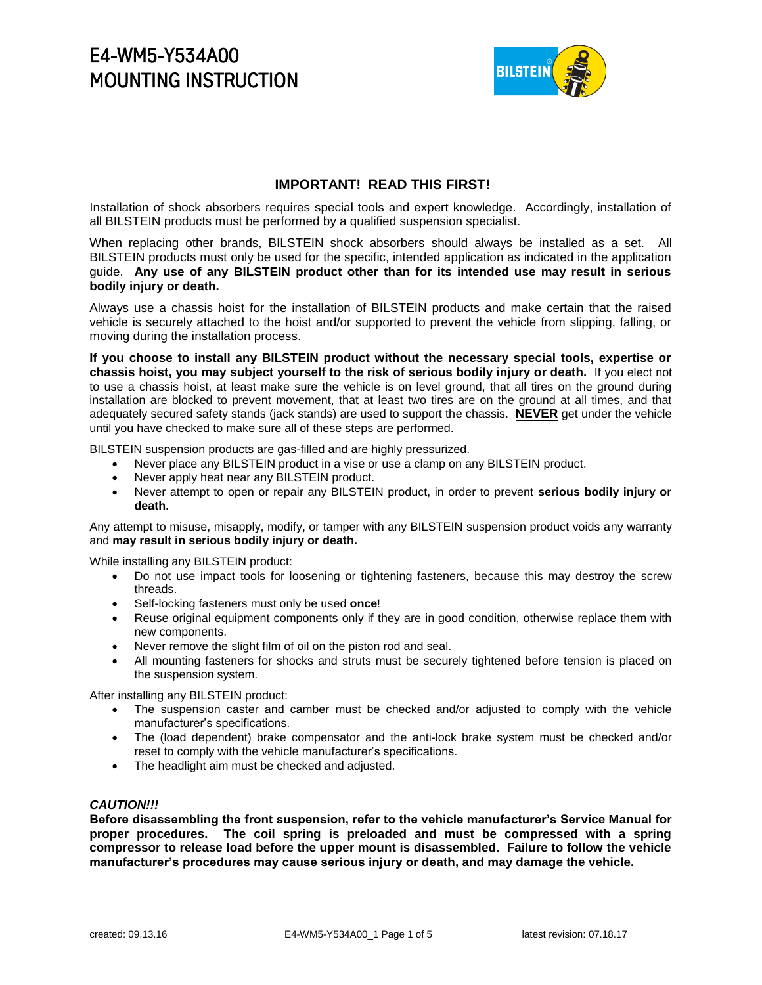

### **IMPORTANT! READ THIS FIRST!**

Installation of shock absorbers requires special tools and expert knowledge. Accordingly, installation of all BILSTEIN products must be performed by a qualified suspension specialist.

When replacing other brands, BILSTEIN shock absorbers should always be installed as a set. All BILSTEIN products must only be used for the specific, intended application as indicated in the application guide. **Any use of any BILSTEIN product other than for its intended use may result in serious bodily injury or death.**

Always use a chassis hoist for the installation of BILSTEIN products and make certain that the raised vehicle is securely attached to the hoist and/or supported to prevent the vehicle from slipping, falling, or moving during the installation process.

**If you choose to install any BILSTEIN product without the necessary special tools, expertise or chassis hoist, you may subject yourself to the risk of serious bodily injury or death.** If you elect not to use a chassis hoist, at least make sure the vehicle is on level ground, that all tires on the ground during installation are blocked to prevent movement, that at least two tires are on the ground at all times, and that adequately secured safety stands (jack stands) are used to support the chassis. **NEVER** get under the vehicle until you have checked to make sure all of these steps are performed.

BILSTEIN suspension products are gas-filled and are highly pressurized.

- Never place any BILSTEIN product in a vise or use a clamp on any BILSTEIN product.
- Never apply heat near any BILSTEIN product.
- Never attempt to open or repair any BILSTEIN product, in order to prevent **serious bodily injury or death.**

Any attempt to misuse, misapply, modify, or tamper with any BILSTEIN suspension product voids any warranty and **may result in serious bodily injury or death.**

While installing any BILSTEIN product:

- Do not use impact tools for loosening or tightening fasteners, because this may destroy the screw threads.
- Self-locking fasteners must only be used **once**!
- Reuse original equipment components only if they are in good condition, otherwise replace them with new components.
- Never remove the slight film of oil on the piston rod and seal.
- All mounting fasteners for shocks and struts must be securely tightened before tension is placed on the suspension system.

After installing any BILSTEIN product:

- The suspension caster and camber must be checked and/or adjusted to comply with the vehicle manufacturer's specifications.
- The (load dependent) brake compensator and the anti-lock brake system must be checked and/or reset to comply with the vehicle manufacturer's specifications.
- The headlight aim must be checked and adjusted.

### *CAUTION!!!*

**Before disassembling the front suspension, refer to the vehicle manufacturer's Service Manual for proper procedures. The coil spring is preloaded and must be compressed with a spring compressor to release load before the upper mount is disassembled. Failure to follow the vehicle manufacturer's procedures may cause serious injury or death, and may damage the vehicle.**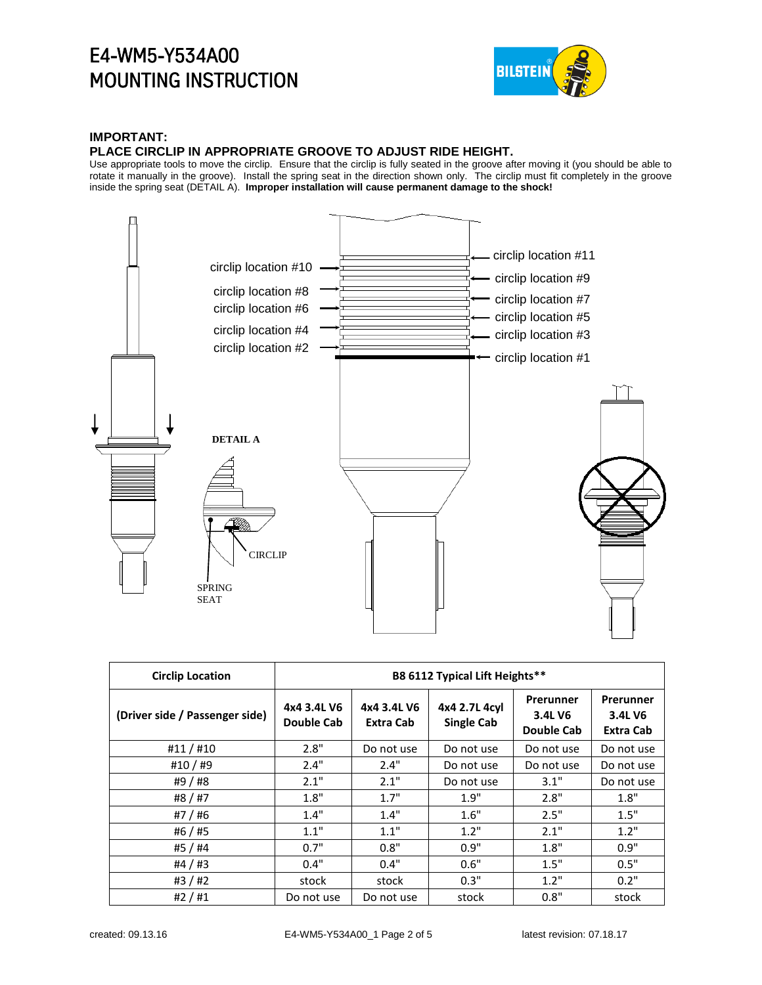

### **IMPORTANT:**

#### **PLACE CIRCLIP IN APPROPRIATE GROOVE TO ADJUST RIDE HEIGHT.**

Use appropriate tools to move the circlip. Ensure that the circlip is fully seated in the groove after moving it (you should be able to rotate it manually in the groove). Install the spring seat in the direction shown only. The circlip must fit completely in the groove inside the spring seat (DETAIL A). **Improper installation will cause permanent damage to the shock!**



| <b>Circlip Location</b>        | B8 6112 Typical Lift Heights** |                          |                                    |                                    |                                   |
|--------------------------------|--------------------------------|--------------------------|------------------------------------|------------------------------------|-----------------------------------|
| (Driver side / Passenger side) | 4x4 3.4L V6<br>Double Cab      | 4x4 3.4L V6<br>Extra Cab | 4x4 2.7L 4cyl<br><b>Single Cab</b> | Prerunner<br>3.4L V6<br>Double Cab | Prerunner<br>3.4L V6<br>Extra Cab |
| #11/#10                        | 2.8"                           | Do not use               | Do not use                         | Do not use                         | Do not use                        |
| #10/#9                         | 2.4"                           | 2.4"                     | Do not use                         | Do not use                         | Do not use                        |
| #9 / #8                        | 2.1"                           | 2.1"                     | Do not use                         | 3.1"                               | Do not use                        |
| #8 / #7                        | 1.8"                           | 1.7"                     | 1.9"                               | 2.8"                               | 1.8"                              |
| #7 / #6                        | 1.4"                           | 1.4"                     | 1.6"                               | 2.5"                               | 1.5"                              |
| #6 / #5                        | 1.1"                           | 1.1"                     | 1.2"                               | 2.1"                               | 1.2"                              |
| #5 / #4                        | 0.7"                           | 0.8"                     | 0.9"                               | 1.8"                               | 0.9"                              |
| #4 / #3                        | 0.4"                           | 0.4"                     | 0.6"                               | 1.5"                               | 0.5"                              |
| #3/#2                          | stock                          | stock                    | 0.3"                               | 1.2"                               | 0.2"                              |
| #2/#1                          | Do not use                     | Do not use               | stock                              | 0.8"                               | stock                             |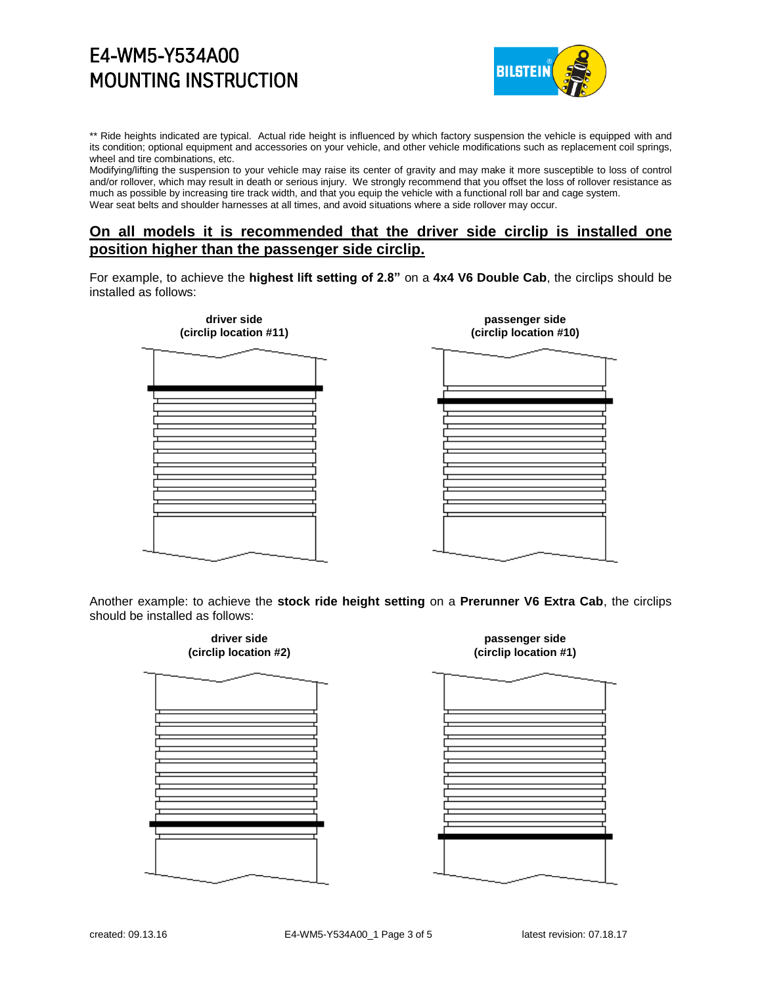

\*\* Ride heights indicated are typical. Actual ride height is influenced by which factory suspension the vehicle is equipped with and its condition; optional equipment and accessories on your vehicle, and other vehicle modifications such as replacement coil springs, wheel and tire combinations, etc.

Modifying/lifting the suspension to your vehicle may raise its center of gravity and may make it more susceptible to loss of control and/or rollover, which may result in death or serious injury. We strongly recommend that you offset the loss of rollover resistance as much as possible by increasing tire track width, and that you equip the vehicle with a functional roll bar and cage system. Wear seat belts and shoulder harnesses at all times, and avoid situations where a side rollover may occur.

## **On all models it is recommended that the driver side circlip is installed one position higher than the passenger side circlip.**

For example, to achieve the **highest lift setting of 2.8"** on a **4x4 V6 Double Cab**, the circlips should be installed as follows:



Another example: to achieve the **stock ride height setting** on a **Prerunner V6 Extra Cab**, the circlips should be installed as follows:

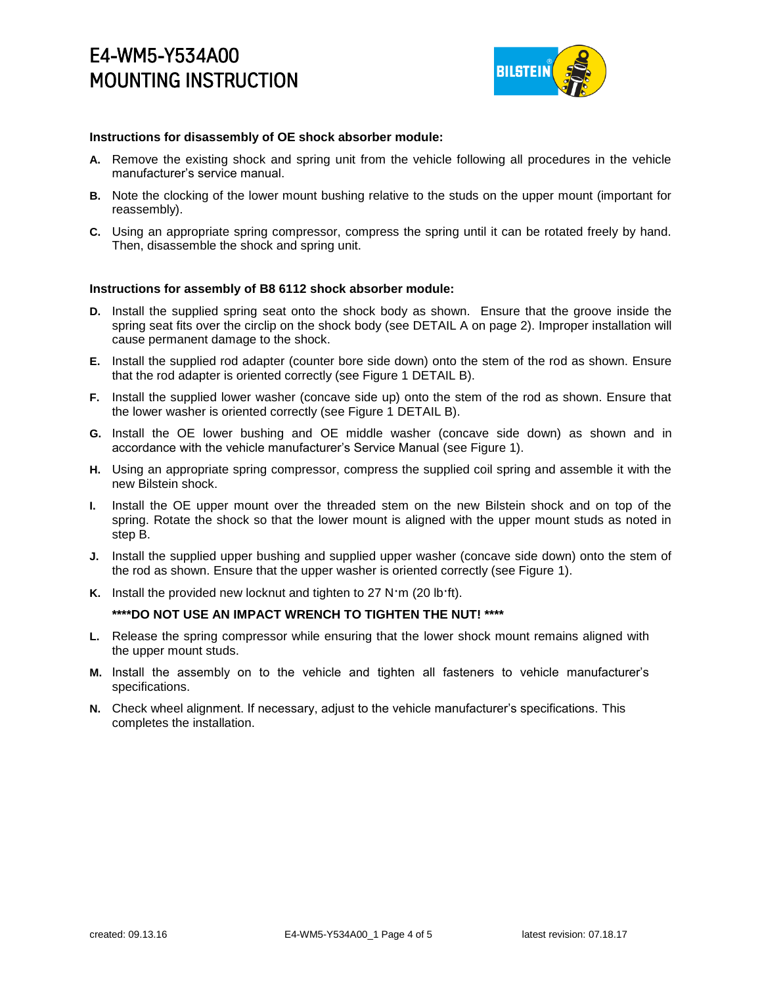

### **Instructions for disassembly of OE shock absorber module:**

- **A.** Remove the existing shock and spring unit from the vehicle following all procedures in the vehicle manufacturer's service manual.
- **B.** Note the clocking of the lower mount bushing relative to the studs on the upper mount (important for reassembly).
- **C.** Using an appropriate spring compressor, compress the spring until it can be rotated freely by hand. Then, disassemble the shock and spring unit.

### **Instructions for assembly of B8 6112 shock absorber module:**

- **D.** Install the supplied spring seat onto the shock body as shown. Ensure that the groove inside the spring seat fits over the circlip on the shock body (see DETAIL A on page 2). Improper installation will cause permanent damage to the shock.
- **E.** Install the supplied rod adapter (counter bore side down) onto the stem of the rod as shown. Ensure that the rod adapter is oriented correctly (see Figure 1 DETAIL B).
- **F.** Install the supplied lower washer (concave side up) onto the stem of the rod as shown. Ensure that the lower washer is oriented correctly (see Figure 1 DETAIL B).
- **G.** Install the OE lower bushing and OE middle washer (concave side down) as shown and in accordance with the vehicle manufacturer's Service Manual (see Figure 1).
- **H.** Using an appropriate spring compressor, compress the supplied coil spring and assemble it with the new Bilstein shock.
- **I.** Install the OE upper mount over the threaded stem on the new Bilstein shock and on top of the spring. Rotate the shock so that the lower mount is aligned with the upper mount studs as noted in step B.
- **J.** Install the supplied upper bushing and supplied upper washer (concave side down) onto the stem of the rod as shown. Ensure that the upper washer is oriented correctly (see Figure 1).
- **K.** Install the provided new locknut and tighten to 27 N·m (20 lb·ft).

### **\*\*\*\*DO NOT USE AN IMPACT WRENCH TO TIGHTEN THE NUT! \*\*\*\***

- **L.** Release the spring compressor while ensuring that the lower shock mount remains aligned with the upper mount studs.
- **M.** Install the assembly on to the vehicle and tighten all fasteners to vehicle manufacturer's specifications.
- **N.** Check wheel alignment. If necessary, adjust to the vehicle manufacturer's specifications. This completes the installation.